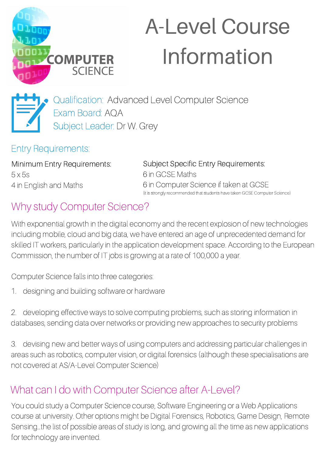

# A-Level Course Information



Qualification: Advanced Level Computer Science Exam Board: AQA Subject Leader: Dr W. Grey

Entry Requirements:

Minimum Entry Requirements: 5 x 5s 4 in English and Maths

Subject Specific Entry Requirements: 6 in GCSE Maths 6 in Computer Science if taken at GCSE (it is strongly recommended that students have taken GCSE Computer Science)

# Why study Computer Science?

With exponential growth in the digital economy and the recent explosion of new technologies including mobile, cloud and big data, we have entered an age of unprecedented demand for skilled IT workers, particularly in the application development space. According to the European Commission, the number of IT jobs is growing at a rate of 100,000 a year.

Computer Science falls into three categories:

1. designing and building software or hardware

2. developing effective ways to solve computing problems, such as storing information in databases, sending data over networks or providing new approaches to security problems

3. devising new and better ways of using computers and addressing particular challenges in areas such as robotics, computer vision, or digital forensics (although these specialisations are not covered at AS/A-Level Computer Science)

# What can I do with Computer Science after A-Level?

You could study a Computer Science course, Software Engineering or a Web Applications course at university. Other options might be Digital Forensics, Robotics, Game Design, Remote Sensing…the list of possible areas of study is long, and growing all the time as new applications for technology are invented.